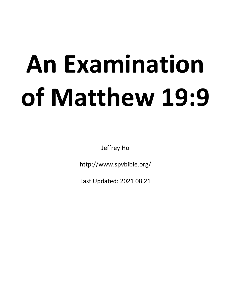# **An Examination of Matthew 19:9**

Jeffrey Ho

http://www.spvbible.org/

Last Updated: 2021 08 21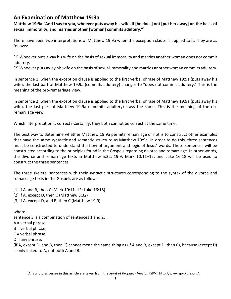# **An Examination of Matthew 19:9a**

**Matthew 19:9a "And I say to you, whoever puts away his wife, if [he does] not [put her away] on the basis of sexual immorality, and marries another [woman] commits adultery."**<sup>1</sup>

There have been two interpretations of Matthew 19:9a when the exception clause is applied to it. They are as follows:

[1] Whoever puts away his wife on the basis of sexual immorality and marries another woman does not commit adultery.

[2] Whoever puts away his wife on the basis of sexual immorality and marries another woman commits adultery.

In sentence 1, when the exception clause is applied to the first verbal phrase of Matthew 19:9a (puts away his wife), the last part of Matthew 19:9a (commits adultery) changes to "does not commit adultery." This is the meaning of the pro-remarriage view.

In sentence 2, when the exception clause is applied to the first verbal phrase of Matthew 19:9a (puts away his wife), the last part of Matthew 19:9a (commits adultery) stays the same. This is the meaning of the noremarriage view.

Which interpretation is correct? Certainly, they both cannot be correct at the same time.

The best way to determine whether Matthew 19:9a permits remarriage or not is to construct other examples that have the same syntactic and semantic structure as Matthew 19:9a. In order to do this, three sentences must be constructed to understand the flow of argument and logic of Jesus' words. These sentences will be constructed according to the principles found in the Gospels regarding divorce and remarriage. In other words, the divorce and remarriage texts in Matthew 5:32; 19:9; Mark 10:11–12; and Luke 16:18 will be used to construct the three sentences.

The three skeletal sentences with their syntactic structures corresponding to the syntax of the divorce and remarriage texts in the Gospels are as follows:

[1] if A and B, then C (Mark 10:11–12; Luke 16:18) [2] if A, except D, then C (Matthew 5:32) [3] if A, except D, and B, then C (Matthew 19:9)

where: sentence 3 is a combination of sentences 1 and 2; A = verbal phrase; B = verbal phrase;  $C =$  verbal phrase;  $D =$ any phrase; (if A, except D, and B, then C) cannot mean the same thing as (if A and B, except D, then C), because (except D)

is only linked to A, not both A and B.

<sup>1</sup>All scriptural verses in this article are taken from the *Spirit of Prophecy Version* (SPV), http://www.spvbible.org/.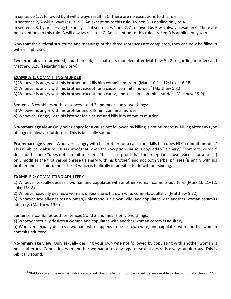In sentence 1, A followed by B will always result in C. There are no exceptions to this rule. In sentence 2, A will always result in C. An exception to this rule is when D is applied only to A. In sentence 3, by preserving the analyses of sentences 1 and 2, A followed by B will always result in C. There are no exceptions to this rule. A will always result in C. An exception to this rule is when D is applied only to A.

Now that the skeletal structures and meanings of the three sentences are completed, they can now be filled in with real phrases.

Two examples are provided, and their subject matter is modeled after Matthew 5:22 (regarding murder) and Matthew 5:28 (regarding adultery).

### **EXAMPLE 1: COMMITTING MURDER**

1) Whoever is angry with his brother and kills him commits murder. (Mark 10:11–12; Luke 16:18)

- 2) Whoever is angry with his brother, except for a cause, commits murder.<sup>2</sup> (Matthew 5:32)
- 3) Whoever is angry with his brother, except for a cause, and kills him commits murder. (Matthew 19:9)

Sentence 3 combines both sentences 1 and 2 and means only two things:

- a) Whoever is angry with his brother and kills him commits murder.
- b) Whoever is angry with his brother for a cause and kills him commits murder.

**No-remarriage view:** Only being angry for a cause not followed by killing is not murderous. Killing after any type of anger is always murderous. This is biblically sound.

**Pro-remarriage view:** "Whoever is angry with his brother for a cause and kills him does NOT commit murder." This is biblically absurd. This is proof that when the exception clause is applied to "is angry," "commits murder" does not become "does not commit murder." This is also proof that the exception clause (except for a cause) only modifies the first verbal phrase (is angry with his brother) and not both verbal phrases (is angry with his brother and kills him), the latter of which is biblically impossible to do without sinning.

### **EXAMPLE 2: COMMITTING ADULTERY**

1) Whoever sexually desires a woman and copulates with another woman commits adultery. (Mark 10:11–12; Luke 16:18)

2) Whoever sexually desires a woman, unless she is his own wife, commits adultery. (Matthew 5:32)

3) Whoever sexually desires a woman, unless she is his own wife, and copulates with another woman commits adultery. (Matthew 19:9)

Sentence 3 combines both sentences 1 and 2 and means only two things:

a) Whoever sexually desires a woman and copulates with another woman commits adultery.

b) Whoever sexually desires a woman, who happens to be his own wife, and copulates with another woman commits adultery.

**No-remarriage view:** Only sexually desiring your own wife not followed by copulating with another woman is not adulterous. Copulating with another woman after any type of sexual desire is always adulterous. This is biblically sound.

<sup>&</sup>lt;sup>2</sup>"But I say to you, every man who is angry with his brother without cause will be answerable to the court." Matthew 5:22.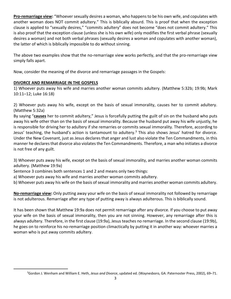**Pro-remarriage view:** "Whoever sexually desires a woman, who happens to be his own wife, and copulates with another woman does NOT commit adultery." This is biblically absurd. This is proof that when the exception clause is applied to "sexually desires," "commits adultery" does not become "does not commit adultery." This is also proof that the exception clause (unless she is his own wife) only modifies the first verbal phrase (sexually desires a woman) and not both verbal phrases (sexually desires a woman and copulates with another woman), the latter of which is biblically impossible to do without sinning.

The above two examples show that the no-remarriage view works perfectly, and that the pro-remarriage view simply falls apart.

Now, consider the meaning of the divorce and remarriage passages in the Gospels:

### **DIVORCE AND REMARRIAGE IN THE GOSPELS**

1) Whoever puts away his wife and marries another woman commits adultery. (Matthew 5:32b; 19:9b; Mark 10:11–12; Luke 16:18)

2) Whoever puts away his wife, except on the basis of sexual immorality, causes her to commit adultery. (Matthew 5:32a)

By saying "**causes** her to commit adultery," Jesus is forcefully putting the guilt of sin on the husband who puts away his wife other than on the basis of sexual immorality. Because the husband put away his wife unjustly, he is responsible for driving her to adultery if she remarries or commits sexual immorality. Therefore, according to Jesus' teaching, the husband's action is tantamount to adultery.<sup>3</sup> This also shows Jesus' hatred for divorce. Under the New Covenant, just as Jesus declares that anger and lust also violate the Ten Commandments, in this manner he declares that divorce also violates the Ten Commandments. Therefore, a man who initiates a divorce is not free of any guilt.

3) Whoever puts away his wife, except on the basis of sexual immorality, and marries another woman commits adultery. (Matthew 19:9a)

Sentence 3 combines both sentences 1 and 2 and means only two things:

a) Whoever puts away his wife and marries another woman commits adultery.

b) Whoever puts away his wife on the basis of sexual immorality and marries another woman commits adultery.

**No-remarriage view:** Only putting away your wife on the basis of sexual immorality not followed by remarriage is not adulterous. Remarriage after any type of putting away is always adulterous. This is biblically sound.

It has been shown that Matthew 19:9a does not permit remarriage after any divorce. If you choose to put away your wife on the basis of sexual immorality, then you are not sinning. However, any remarriage after this is always adultery. Therefore, in the first clause (19:9a), Jesus teaches no remarriage. In the second clause (19:9b), he goes on to reinforce his no-remarriage position climactically by putting it in another way: whoever marries a woman who is put away commits adultery.

<sup>3</sup>Gordon J. Wenham and William E. Heth, *Jesus and Divorce*, updated ed. (Waynesboro, GA: Paternoster Press, 2002), 69–71.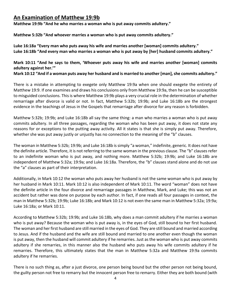# **An Examination of Matthew 19:9b**

**Matthew 19:9b "And he who marries a woman who is put away commits adultery."**

**Matthew 5:32b "And whoever marries a woman who is put away commits adultery."**

**Luke 16:18a "Every man who puts away his wife and marries another [woman] commits adultery." Luke 16:18b "And every man who marries a woman who is put away by [her] husband commits adultery."**

**Mark 10:11 "And he says to them, 'Whoever puts away his wife and marries another [woman] commits adultery against her.'"**

**Mark 10:12 "And if a woman puts away her husband and is married to another [man], she commits adultery."**

There is a mistake in attempting to exegete only Matthew 19:9a when one should exegete the entirety of Matthew 19:9. If one examines and draws his conclusions only from Matthew 19:9a, then he can be susceptible to misguided conclusions. This is where Matthew 19:9b plays a very crucial role in the determination of whether remarriage after divorce is valid or not. In fact, Matthew 5:32b; 19:9b; and Luke 16:18b are the strongest evidence in the teachings of Jesus in the Gospels that remarriage after divorce for any reason is forbidden.

Matthew 5:32b; 19:9b; and Luke 16:18b all say the same thing: a man who marries a woman who is put away commits adultery. In all three passages, regarding the woman who has been put away, it does not state any reasons for or exceptions to the putting away activity. All it states is that she is simply put away. Therefore, whether she was put away justly or unjustly has no connection to the meaning of the "b" clauses.

The woman in Matthew 5:32b; 19:9b; and Luke 16:18b is simply "a woman," indefinite, generic. It does not have the definite article. Therefore, it is not referring to the same woman in the previous clause. The "b" clauses refer to an indefinite woman who is put away, and nothing more. Matthew 5:32b; 19:9b; and Luke 16:18b are independent of Matthew 5:32a; 19:9a; and Luke 16:18a. Therefore, the "b" clauses stand alone and do not use the "a" clauses as part of their interpretation.

Additionally, in Mark 10:12 the woman who puts away her husband is not the same woman who is put away by her husband in Mark 10:11. Mark 10:12 is also independent of Mark 10:11. The word "woman" does not have the definite article in the four divorce and remarriage passages in Matthew, Mark, and Luke; this was not an accident but rather was done on purpose by each author. In fact, if one reads all four passages in context, the man in Matthew 5:32b; 19:9b; Luke 16:18b; and Mark 10:12 is not even the same man in Matthew 5:32a; 19:9a; Luke 16:18a; or Mark 10:11.

According to Matthew 5:32b; 19:9b; and Luke 16:18b, why does a man commit adultery if he marries a woman who is put away? Because the woman who is put away is, in the eyes of God, still bound to her first husband. The woman and her first husband are still married in the eyes of God. They are still bound and married according to Jesus. And if the husband and the wife are still bound and married to one another even though the woman is put away, then the husband will commit adultery if he remarries. Just as the woman who is put away commits adultery if she remarries, in this manner also the husband who puts away his wife commits adultery if he remarries. Therefore, this ultimately states that the man in Matthew 5:32a and Matthew 19:9a commits adultery if he remarries.

There is no such thing as, after a just divorce, one person being bound but the other person not being bound, the guilty person not free to remarry but the innocent person free to remarry. Either they are both bound (with